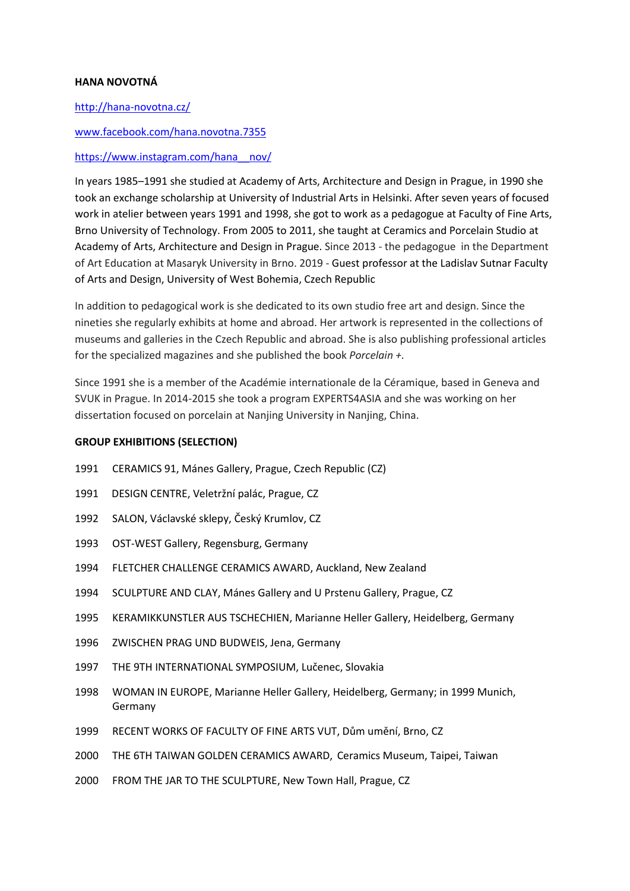# **HANA NOVOTNÁ**

## <http://hana-novotna.cz/>

## [www.facebook.com/hana.novotna.7355](http://www.facebook.com/hana.novotna.7355)

#### [https://www.instagram.com/hana\\_\\_nov/](https://www.instagram.com/hana__nov/)

In years 1985–1991 she studied at Academy of Arts, Architecture and Design in Prague, in 1990 she took an exchange scholarship at University of Industrial Arts in Helsinki. After seven years of focused work in atelier between years 1991 and 1998, she got to work as a pedagogue at Faculty of Fine Arts, Brno University of Technology. From 2005 to 2011, she taught at Ceramics and Porcelain Studio at Academy of Arts, Architecture and Design in Prague. Since 2013 - the pedagogue in the Department of Art Education at Masaryk University in Brno. 2019 - Guest professor at the Ladislav Sutnar Faculty of Arts and Design, University of West Bohemia, Czech Republic

In addition to pedagogical work is she dedicated to its own studio free art and design. Since the nineties she regularly exhibits at home and abroad. Her artwork is represented in the collections of museums and galleries in the Czech Republic and abroad. She is also publishing professional articles for the specialized magazines and she published the book *Porcelain +.* 

Since 1991 she is a member of the Académie internationale de la Céramique, based in Geneva and SVUK in Prague. In 2014-2015 she took a program EXPERTS4ASIA and she was working on her dissertation focused on porcelain at Nanjing University in Nanjing, China.

## **GROUP EXHIBITIONS (SELECTION)**

- 1991 CERAMICS 91, Mánes Gallery, Prague, Czech Republic (CZ)
- 1991 DESIGN CENTRE, Veletržní palác, Prague, CZ
- 1992 SALON, Václavské sklepy, Český Krumlov, CZ
- 1993 OST-WEST Gallery, Regensburg, Germany
- 1994 FLETCHER CHALLENGE CERAMICS AWARD, Auckland, New Zealand
- 1994 SCULPTURE AND CLAY, Mánes Gallery and U Prstenu Gallery, Prague, CZ
- 1995 KERAMIKKUNSTLER AUS TSCHECHIEN, Marianne Heller Gallery, Heidelberg, Germany
- 1996 ZWISCHEN PRAG UND BUDWEIS, Jena, Germany
- 1997 THE 9TH INTERNATIONAL SYMPOSIUM, Lučenec, Slovakia
- 1998 WOMAN IN EUROPE, Marianne Heller Gallery, Heidelberg, Germany; in 1999 Munich, Germany
- 1999 RECENT WORKS OF FACULTY OF FINE ARTS VUT, Dům umění, Brno, CZ
- 2000 THE 6TH TAIWAN GOLDEN CERAMICS AWARD, Ceramics Museum, Taipei, Taiwan
- 2000 FROM THE JAR TO THE SCULPTURE, New Town Hall, Prague, CZ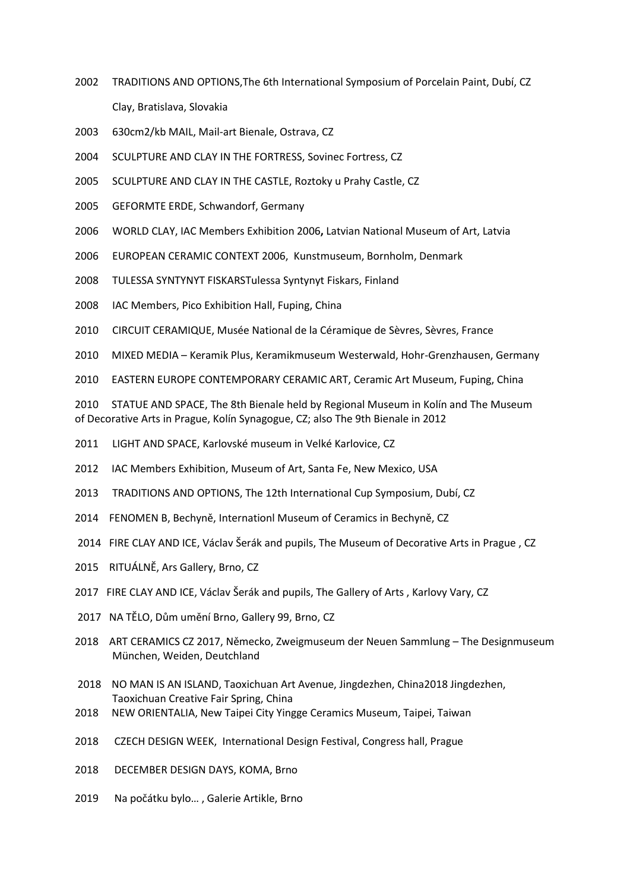- 2002 TRADITIONS AND OPTIONS,The 6th International Symposium of Porcelain Paint, Dubí, CZ Clay, Bratislava, Slovakia
- 2003 630cm2/kb MAIL, Mail-art Bienale, Ostrava, CZ
- 2004 SCULPTURE AND CLAY IN THE FORTRESS, Sovinec Fortress, CZ
- 2005 SCULPTURE AND CLAY IN THE CASTLE, Roztoky u Prahy Castle, CZ
- 2005 GEFORMTE ERDE, Schwandorf, Germany
- 2006 WORLD CLAY, IAC Members Exhibition 2006**,** Latvian National Museum of Art, Latvia
- 2006 EUROPEAN CERAMIC CONTEXT 2006, Kunstmuseum, Bornholm, Denmark
- 2008 TULESSA SYNTYNYT FISKARSTulessa Syntynyt Fiskars, Finland
- 2008 IAC Members, Pico Exhibition Hall, Fuping, China
- 2010 CIRCUIT CERAMIQUE, Musée National de la Céramique de Sèvres, Sèvres, France
- 2010 MIXED MEDIA Keramik Plus, Keramikmuseum Westerwald, Hohr-Grenzhausen, Germany
- 2010 EASTERN EUROPE CONTEMPORARY CERAMIC ART, Ceramic Art Museum, Fuping, China

2010 STATUE AND SPACE, The 8th Bienale held by Regional Museum in Kolín and The Museum of Decorative Arts in Prague, Kolín Synagogue, CZ; also The 9th Bienale in 2012

- 2011 LIGHT AND SPACE, Karlovské museum in Velké Karlovice, CZ
- 2012 IAC Members Exhibition, Museum of Art, Santa Fe, New Mexico, USA
- 2013 TRADITIONS AND OPTIONS, The 12th International Cup Symposium, Dubí, CZ
- 2014 FENOMEN B, Bechyně, Internationl Museum of Ceramics in Bechyně, CZ
- 2014 FIRE CLAY AND ICE, Václav Šerák and pupils, The Museum of Decorative Arts in Prague , CZ
- 2015 RITUÁLNĚ, Ars Gallery, Brno, CZ
- 2017 FIRE CLAY AND ICE, Václav Šerák and pupils, The Gallery of Arts , Karlovy Vary, CZ
- 2017 NA TĚLO, Dům umění Brno, Gallery 99, Brno, CZ
- 2018 ART CERAMICS CZ 2017, Německo, Zweigmuseum der Neuen Sammlung The Designmuseum München, Weiden, Deutchland
- 2018 NO MAN IS AN ISLAND, Taoxichuan Art Avenue, Jingdezhen, China2018 Jingdezhen, Taoxichuan Creative Fair Spring, China
- 2018 NEW ORIENTALIA, New Taipei City Yingge Ceramics Museum, Taipei, Taiwan
- 2018 CZECH DESIGN WEEK, International Design Festival, Congress hall, Prague
- 2018 DECEMBER DESIGN DAYS, KOMA, Brno
- 2019Na počátku bylo… , Galerie Artikle, Brno